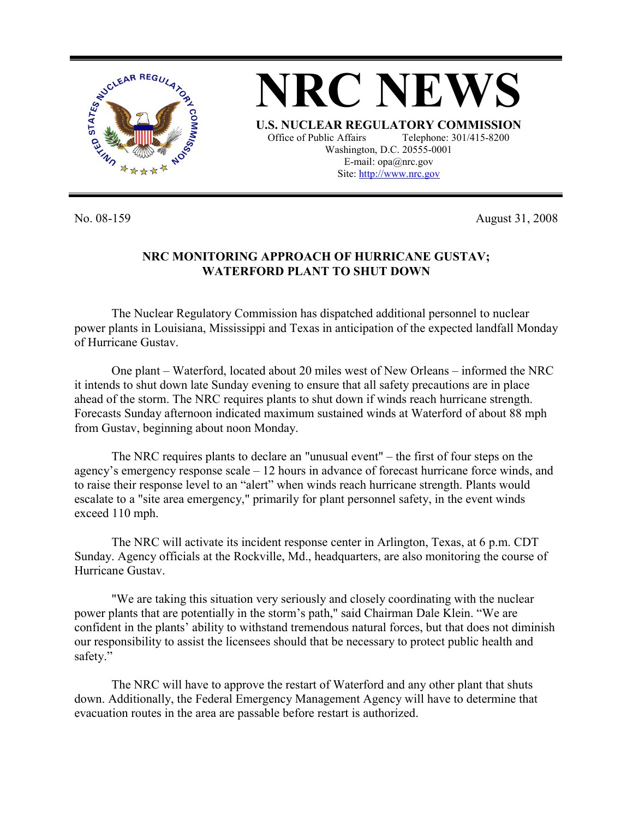

**NRC NEWS U.S. NUCLEAR REGULATORY COMMISSION** Office of Public Affairs Telephone: 301/415-8200 Washington, D.C. 20555-0001 E-mail: opa@nrc.gov Site: http://www.nrc.gov

No. 08-159 August 31, 2008

## **NRC MONITORING APPROACH OF HURRICANE GUSTAV; WATERFORD PLANT TO SHUT DOWN**

The Nuclear Regulatory Commission has dispatched additional personnel to nuclear power plants in Louisiana, Mississippi and Texas in anticipation of the expected landfall Monday of Hurricane Gustav.

One plant – Waterford, located about 20 miles west of New Orleans – informed the NRC it intends to shut down late Sunday evening to ensure that all safety precautions are in place ahead of the storm. The NRC requires plants to shut down if winds reach hurricane strength. Forecasts Sunday afternoon indicated maximum sustained winds at Waterford of about 88 mph from Gustav, beginning about noon Monday.

The NRC requires plants to declare an "unusual event" – the first of four steps on the agency's emergency response scale – 12 hours in advance of forecast hurricane force winds, and to raise their response level to an "alert" when winds reach hurricane strength. Plants would escalate to a "site area emergency," primarily for plant personnel safety, in the event winds exceed 110 mph.

The NRC will activate its incident response center in Arlington, Texas, at 6 p.m. CDT Sunday. Agency officials at the Rockville, Md., headquarters, are also monitoring the course of Hurricane Gustav.

"We are taking this situation very seriously and closely coordinating with the nuclear power plants that are potentially in the storm's path," said Chairman Dale Klein. "We are confident in the plants' ability to withstand tremendous natural forces, but that does not diminish our responsibility to assist the licensees should that be necessary to protect public health and safety."

The NRC will have to approve the restart of Waterford and any other plant that shuts down. Additionally, the Federal Emergency Management Agency will have to determine that evacuation routes in the area are passable before restart is authorized.